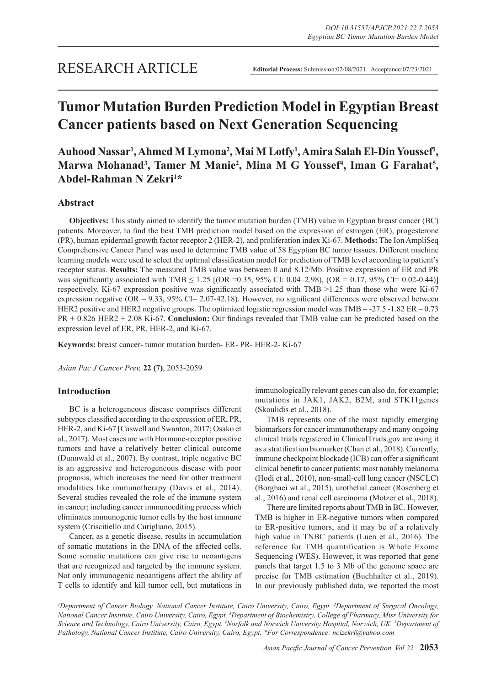# **Tumor Mutation Burden Prediction Model in Egyptian Breast Cancer patients based on Next Generation Sequencing**

Auhood Nassar<sup>1</sup>, Ahmed M Lymona<sup>2</sup>, Mai M Lotfy<sup>1</sup>, Amira Salah El-Din Youssef<sup>1</sup>, Marwa Mohanad<sup>3</sup>, Tamer M Manie<sup>2</sup>, Mina M G Youssef<sup>4</sup>, Iman G Farahat<sup>5</sup>, **Abdel-Rahman N Zekri1 \***

## **Abstract**

**Objectives:** This study aimed to identify the tumor mutation burden (TMB) value in Egyptian breast cancer (BC) patients. Moreover, to find the best TMB prediction model based on the expression of estrogen (ER), progesterone (PR), human epidermal growth factor receptor 2 (HER-2), and proliferation index Ki-67. **Methods:** The Ion AmpliSeq Comprehensive Cancer Panel was used to determine TMB value of 58 Egyptian BC tumor tissues. Different machine learning models were used to select the optimal classification model for prediction of TMB level according to patient's receptor status. **Results:** The measured TMB value was between 0 and 8.12/Mb. Positive expression of ER and PR was significantly associated with TMB  $\leq 1.25$  [(OR =0.35, 95% CI: 0.04–2.98), (OR = 0.17, 95% CI= 0.02-0.44)] respectively. Ki-67 expression positive was significantly associated with TMB >1.25 than those who were Ki-67 expression negative (OR = 9.33, 95% CI= 2.07-42.18). However, no significant differences were observed between HER2 positive and HER2 negative groups. The optimized logistic regression model was TMB = -27.5 -1.82 ER – 0.73 PR + 0.826 HER2 + 2.08 Ki-67. **Conclusion:** Our findings revealed that TMB value can be predicted based on the expression level of ER, PR, HER-2, and Ki-67.

**Keywords:** breast cancer- tumor mutation burden- ER- PR- HER-2- Ki-67

*Asian Pac J Cancer Prev,* **22 (7)**, 2053-2059

# **Introduction**

BC is a heterogeneous disease comprises different subtypes classified according to the expression of ER, PR, HER-2, and Ki-67 [Caswell and Swanton, 2017; Osako et al., 2017). Most cases are with Hormone-receptor positive tumors and have a relatively better clinical outcome (Dunnwald et al., 2007). By contrast, triple negative BC is an aggressive and heterogeneous disease with poor prognosis, which increases the need for other treatment modalities like immunotherapy (Davis et al., 2014). Several studies revealed the role of the immune system in cancer; including cancer immunoediting process which eliminates immunogenic tumor cells by the host immune system (Criscitiello and Curigliano, 2015).

Cancer, as a genetic disease, results in accumulation of somatic mutations in the DNA of the affected cells. Some somatic mutations can give rise to neoantigens that are recognized and targeted by the immune system. Not only immunogenic neoantigens affect the ability of T cells to identify and kill tumor cell, but mutations in immunologically relevant genes can also do, for example; mutations in JAK1, JAK2, B2M, and STK11genes (Skoulidis et al., 2018).

TMB represents one of the most rapidly emerging biomarkers for cancer immunotherapy and many ongoing clinical trials registered in ClinicalTrials.gov are using it as a stratification biomarker (Chan et al., 2018). Currently, immune checkpoint blockade (ICB) can offer a significant clinical benefit to cancer patients; most notably melanoma (Hodi et al., 2010), non-small-cell lung cancer (NSCLC) (Borghaei wt al., 2015), urothelial cancer (Rosenberg et al., 2016) and renal cell carcinoma (Motzer et al., 2018).

There are limited reports about TMB in BC. However, TMB is higher in ER-negative tumors when compared to ER-positive tumors, and it may be of a relatively high value in TNBC patients (Luen et al., 2016). The reference for TMB quantification is Whole Exome Sequencing (WES). However, it was reported that gene panels that target 1.5 to 3 Mb of the genome space are precise for TMB estimation (Buchhalter et al., 2019). In our previously published data, we reported the most

*1 Department of Cancer Biology, National Cancer Institute, Cairo University, Cairo, Egypt. 2 Department of Surgical Oncology, National Cancer Institute, Cairo University, Cairo, Egypt. 3 Department of Biochemistry, College of Pharmacy, Misr University for Science and Technology, Cairo University, Cairo, Egypt. 4 Norfolk and Norwich University Hospital, Norwich, UK. 5 Department of Pathology, National Cancer Institute, Cairo University, Cairo, Egypt. \*For Correspondence: ncizekri@yahoo.com*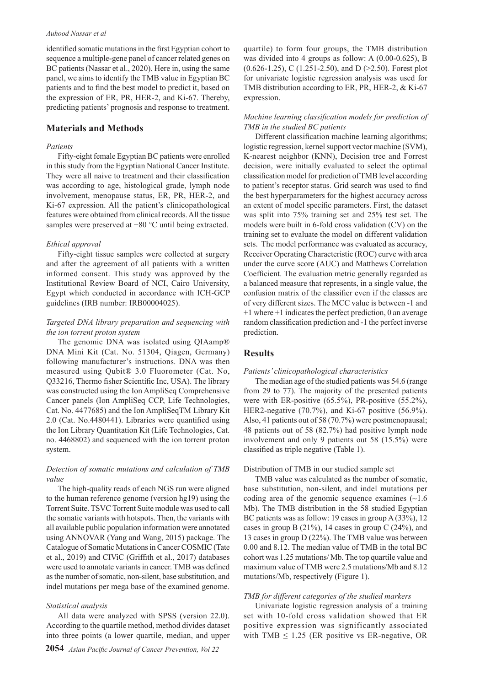#### *Auhood Nassar et al*

identified somatic mutations in the first Egyptian cohort to sequence a multiple-gene panel of cancer related genes on BC patients (Nassar et al., 2020). Here in, using the same panel, we aims to identify the TMB value in Egyptian BC patients and to find the best model to predict it, based on the expression of ER, PR, HER-2, and Ki-67. Thereby, predicting patients' prognosis and response to treatment.

## **Materials and Methods**

#### *Patients*

Fifty-eight female Egyptian BC patients were enrolled in this study from the Egyptian National Cancer Institute. They were all naive to treatment and their classification was according to age, histological grade, lymph node involvement, menopause status, ER, PR, HER-2, and Ki-67 expression. All the patient's clinicopathological features were obtained from clinical records. All the tissue samples were preserved at −80 °C until being extracted.

#### *Ethical approval*

Fifty-eight tissue samples were collected at surgery and after the agreement of all patients with a written informed consent. This study was approved by the Institutional Review Board of NCI, Cairo University, Egypt which conducted in accordance with ICH-GCP guidelines (IRB number: IRB00004025).

## *Targeted DNA library preparation and sequencing with the ion torrent proton system*

The genomic DNA was isolated using QIAamp® DNA Mini Kit (Cat. No. 51304, Qiagen, Germany) following manufacturer's instructions. DNA was then measured using Qubit® 3.0 Fluorometer (Cat. No, Q33216, Thermo fisher Scientific Inc, USA). The library was constructed using the Ion AmpliSeq Comprehensive Cancer panels (Ion AmpliSeq CCP, Life Technologies, Cat. No. 4477685) and the Ion AmpliSeqTM Library Kit 2.0 (Cat. No.4480441). Libraries were quantified using the Ion Library Quantitation Kit (Life Technologies, Cat. no. 4468802) and sequenced with the ion torrent proton system.

## *Detection of somatic mutations and calculation of TMB value*

The high-quality reads of each NGS run were aligned to the human reference genome (version hg19) using the Torrent Suite. TSVC Torrent Suite module was used to call the somatic variants with hotspots. Then, the variants with all available public population information were annotated using ANNOVAR (Yang and Wang, 2015) package. The Catalogue of Somatic Mutations in Cancer COSMIC (Tate et al., 2019) and CIViC (Griffith et al., 2017) databases were used to annotate variants in cancer. TMB was defined as the number of somatic, non-silent, base substitution, and indel mutations per mega base of the examined genome.

#### *Statistical analysis*

All data were analyzed with SPSS (version 22.0). According to the quartile method, method divides dataset into three points (a lower quartile, median, and upper

quartile) to form four groups, the TMB distribution was divided into 4 groups as follow: A (0.00-0.625), B  $(0.626-1.25)$ , C  $(1.251-2.50)$ , and D  $(>2.50)$ . Forest plot for univariate logistic regression analysis was used for TMB distribution according to ER, PR, HER-2, & Ki-67 expression.

## *Machine learning classification models for prediction of TMB in the studied BC patients*

Different classification machine learning algorithms; logistic regression, kernel support vector machine (SVM), K-nearest neighbor (KNN), Decision tree and Forrest decision, were initially evaluated to select the optimal classification model for prediction of TMB level according to patient's receptor status. Grid search was used to find the best hyperparameters for the highest accuracy across an extent of model specific parameters. First, the dataset was split into 75% training set and 25% test set. The models were built in 6-fold cross validation (CV) on the training set to evaluate the model on different validation sets. The model performance was evaluated as accuracy, Receiver Operating Characteristic (ROC) curve with area under the curve score (AUC) and Matthews Correlation Coefficient. The evaluation metric generally regarded as a balanced measure that represents, in a single value, the confusion matrix of the classifier even if the classes are of very different sizes. The MCC value is between -1 and +1 where +1 indicates the perfect prediction, 0 an average random classification prediction and -1 the perfect inverse prediction.

## **Results**

#### *Patients' clinicopathological characteristics*

The median age of the studied patients was 54.6 (range from 29 to 77). The majority of the presented patients were with ER-positive (65.5%), PR-positive (55.2%), HER2-negative (70.7%), and Ki-67 positive (56.9%). Also, 41 patients out of 58 (70.7%) were postmenopausal; 48 patients out of 58 (82.7%) had positive lymph node involvement and only 9 patients out 58 (15.5%) were classified as triple negative (Table 1).

#### Distribution of TMB in our studied sample set

TMB value was calculated as the number of somatic, base substitution, non-silent, and indel mutations per coding area of the genomic sequence examines  $(\sim 1.6$ Mb). The TMB distribution in the 58 studied Egyptian BC patients was as follow: 19 cases in group A (33%), 12 cases in group B  $(21\%)$ , 14 cases in group C  $(24\%)$ , and 13 cases in group D (22%). The TMB value was between 0.00 and 8.12. The median value of TMB in the total BC cohort was 1.25 mutations/ Mb. The top quartile value and maximum value of TMB were 2.5 mutations/Mb and 8.12 mutations/Mb, respectively (Figure 1).

## *TMB for different categories of the studied markers*

Univariate logistic regression analysis of a training set with 10-fold cross validation showed that ER positive expression was significantly associated with TMB  $\leq$  1.25 (ER positive vs ER-negative, OR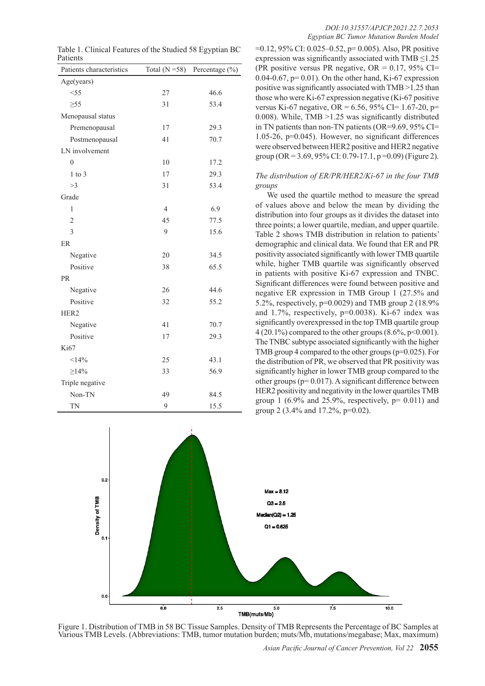| Patients characteristics | Total $(N = 58)$ | Percentage (%) |  |
|--------------------------|------------------|----------------|--|
| Age(years)               |                  |                |  |
| $<$ 55                   | 27               | 46.6           |  |
| $\geq 55$                | 31               | 53.4           |  |
| Menopausal status        |                  |                |  |
| Premenopausal            | 17               | 29.3           |  |
| Postmenopausal           | 41               | 70.7           |  |
| LN involvement           |                  |                |  |
| 0                        | 10               | 17.2           |  |
| $1$ to $3$               | 17               | 29.3           |  |
| >3                       | 31               | 53.4           |  |
| Grade                    |                  |                |  |
| 1                        | $\overline{4}$   | 6.9            |  |
| $\overline{2}$           | 45               | 77.5           |  |
| 3                        | 9                | 15.6           |  |
| ER                       |                  |                |  |
| Negative                 | 20               | 34.5           |  |
| Positive                 | 38               | 65.5           |  |
| <b>PR</b>                |                  |                |  |
| Negative                 | 26               | 44.6           |  |
| Positive                 | 32               | 55.2           |  |
| HER <sub>2</sub>         |                  |                |  |
| Negative                 | 41               | 70.7           |  |
| Positive                 | 17               | 29.3           |  |
| Ki67                     |                  |                |  |
| <14%                     | 25               | 43.1           |  |
| $\geq$ 14%               | 33               | 56.9           |  |
| Triple negative          |                  |                |  |
| Non-TN                   | 49               | 84.5           |  |
| <b>TN</b>                | 9                | 15.5           |  |

Table 1. Clinical Features of the Studied 58 Egyptian BC Patients

#### *DOI:10.31557/APJCP.2021.22.7.2053 Egyptian BC Tumor Mutation Burden Model*

=0.12, 95% CI: 0.025–0.52, p= 0.005). Also, PR positive expression was significantly associated with TMB  $\leq$ 1.25 (PR positive versus PR negative,  $OR = 0.17$ , 95% CI= 0.04-0.67,  $p=$  0.01). On the other hand, Ki-67 expression positive was significantly associated with TMB >1.25 than those who were Ki-67 expression negative (Ki-67 positive versus Ki-67 negative, OR =  $6.56$ , 95% CI= 1.67-20, p= 0.008). While, TMB >1.25 was significantly distributed in TN patients than non-TN patients (OR=9.69, 95% CI= 1.05-26, p=0.045). However, no significant differences were observed between HER2 positive and HER2 negative group (OR = 3.69, 95% CI: 0.79-17.1,  $p = 0.09$ ) (Figure 2).

*The distribution of ER/PR/HER2/Ki-67 in the four TMB groups*

We used the quartile method to measure the spread of values above and below the mean by dividing the distribution into four groups as it divides the dataset into three points; a lower quartile, median, and upper quartile. Table 2 shows TMB distribution in relation to patients' demographic and clinical data. We found that ER and PR positivity associated significantly with lower TMB quartile while, higher TMB quartile was significantly observed in patients with positive Ki-67 expression and TNBC. Significant differences were found between positive and negative ER expression in TMB Group 1 (27.5% and 5.2%, respectively, p=0.0029) and TMB group 2 (18.9% and 1.7%, respectively, p=0.0038). Ki-67 index was significantly overexpressed in the top TMB quartile group  $4 (20.1\%)$  compared to the other groups  $(8.6\%, p<0.001)$ . The TNBC subtype associated significantly with the higher TMB group 4 compared to the other groups (p=0.025). For the distribution of PR, we observed that PR positivity was significantly higher in lower TMB group compared to the other groups (p= 0.017). A significant difference between HER2 positivity and negativity in the lower quartiles TMB group 1 (6.9% and 25.9%, respectively,  $p = 0.011$ ) and group 2 (3.4% and 17.2%, p=0.02).



Figure 1. Distribution of TMB in 58 BC Tissue Samples. Density of TMB Represents the Percentage of BC Samples at Various TMB Levels. (Abbreviations: TMB, tumor mutation burden; muts/Mb, mutations/megabase; Max, maximum)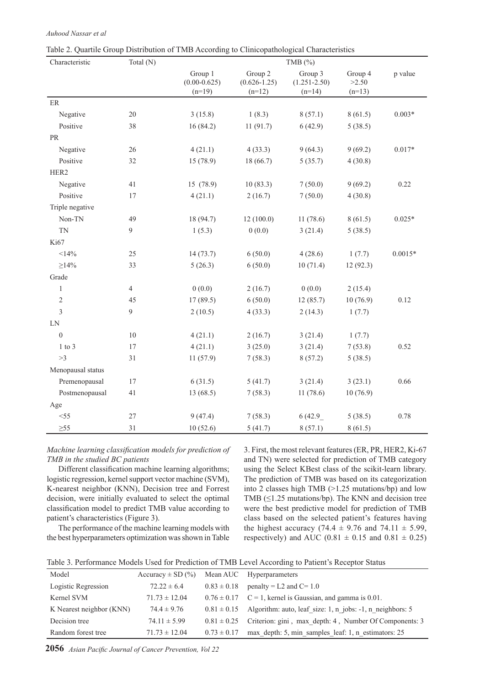| Characteristic                    | Total (N)      | TMB $(%)$                               |                                         |                                         |                              |           |
|-----------------------------------|----------------|-----------------------------------------|-----------------------------------------|-----------------------------------------|------------------------------|-----------|
|                                   |                | Group 1<br>$(0.00 - 0.625)$<br>$(n=19)$ | Group 2<br>$(0.626 - 1.25)$<br>$(n=12)$ | Group 3<br>$(1.251 - 2.50)$<br>$(n=14)$ | Group 4<br>>2.50<br>$(n=13)$ | p value   |
| $\rm ER$                          |                |                                         |                                         |                                         |                              |           |
| Negative                          | 20             | 3(15.8)                                 | 1(8.3)                                  | 8(57.1)                                 | 8(61.5)                      | $0.003*$  |
| Positive                          | 38             | 16(84.2)                                | 11(91.7)                                | 6(42.9)                                 | 5(38.5)                      |           |
| $\ensuremath{\mathsf{PR}}\xspace$ |                |                                         |                                         |                                         |                              |           |
| Negative                          | 26             | 4(21.1)                                 | 4(33.3)                                 | 9(64.3)                                 | 9(69.2)                      | $0.017*$  |
| Positive                          | 32             | 15 (78.9)                               | 18 (66.7)                               | 5(35.7)                                 | 4(30.8)                      |           |
| HER2                              |                |                                         |                                         |                                         |                              |           |
| Negative                          | 41             | 15 (78.9)                               | 10(83.3)                                | 7(50.0)                                 | 9(69.2)                      | 0.22      |
| Positive                          | 17             | 4(21.1)                                 | 2(16.7)                                 | 7(50.0)                                 | 4(30.8)                      |           |
| Triple negative                   |                |                                         |                                         |                                         |                              |           |
| Non-TN                            | 49             | 18 (94.7)                               | 12(100.0)                               | 11(78.6)                                | 8(61.5)                      | $0.025*$  |
| <b>TN</b>                         | 9              | 1(5.3)                                  | 0(0.0)                                  | 3(21.4)                                 | 5(38.5)                      |           |
| Ki67                              |                |                                         |                                         |                                         |                              |           |
| <14%                              | 25             | 14(73.7)                                | 6(50.0)                                 | 4(28.6)                                 | 1(7.7)                       | $0.0015*$ |
| $\geq$ 14%                        | 33             | 5(26.3)                                 | 6(50.0)                                 | 10(71.4)                                | 12(92.3)                     |           |
| Grade                             |                |                                         |                                         |                                         |                              |           |
| $\mathbf{1}$                      | $\overline{4}$ | 0(0.0)                                  | 2(16.7)                                 | 0(0.0)                                  | 2(15.4)                      |           |
| $\sqrt{2}$                        | 45             | 17(89.5)                                | 6(50.0)                                 | 12(85.7)                                | 10(76.9)                     | 0.12      |
| 3                                 | 9              | 2(10.5)                                 | 4(33.3)                                 | 2(14.3)                                 | 1(7.7)                       |           |
| ${\rm LN}$                        |                |                                         |                                         |                                         |                              |           |
| $\mathbf{0}$                      | 10             | 4(21.1)                                 | 2(16.7)                                 | 3(21.4)                                 | 1(7.7)                       |           |
| $1$ to $3$                        | 17             | 4(21.1)                                 | 3(25.0)                                 | 3(21.4)                                 | 7(53.8)                      | 0.52      |
| >3                                | 31             | 11(57.9)                                | 7(58.3)                                 | 8(57.2)                                 | 5(38.5)                      |           |
| Menopausal status                 |                |                                         |                                         |                                         |                              |           |
| Premenopausal                     | 17             | 6(31.5)                                 | 5(41.7)                                 | 3(21.4)                                 | 3(23.1)                      | 0.66      |
| Postmenopausal                    | 41             | 13(68.5)                                | 7(58.3)                                 | 11(78.6)                                | 10(76.9)                     |           |
| Age                               |                |                                         |                                         |                                         |                              |           |
| $<$ 55                            | 27             | 9(47.4)                                 | 7(58.3)                                 | 6(42.9)                                 | 5(38.5)                      | 0.78      |
| $\geq 55$                         | 31             | 10(52.6)                                | 5(41.7)                                 | 8(57.1)                                 | 8(61.5)                      |           |

Table 2. Quartile Group Distribution of TMB According to Clinicopathological Characteristics

*Auhood Nassar et al*

*Machine learning classification models for prediction of TMB in the studied BC patients* 

Different classification machine learning algorithms; logistic regression, kernel support vector machine (SVM), K-nearest neighbor (KNN), Decision tree and Forrest decision, were initially evaluated to select the optimal classification model to predict TMB value according to patient's characteristics (Figure 3).

The performance of the machine learning models with the best hyperparameters optimization was shown in Table 3. First, the most relevant features (ER, PR, HER2, Ki-67 and TN) were selected for prediction of TMB category using the Select KBest class of the scikit-learn library. The prediction of TMB was based on its categorization into 2 classes high TMB (>1.25 mutations/bp) and low TMB  $(\leq1.25 \text{ mutations/bp})$ . The KNN and decision tree were the best predictive model for prediction of TMB class based on the selected patient's features having the highest accuracy (74.4  $\pm$  9.76 and 74.11  $\pm$  5.99, respectively) and AUC (0.81  $\pm$  0.15 and 0.81  $\pm$  0.25)

Table 3. Performance Models Used for Prediction of TMB Level According to Patient's Receptor Status

| Model                    | Accuracy $\pm$ SD $(\% )$ |                 | Mean AUC Hyperparameters                                                  |
|--------------------------|---------------------------|-----------------|---------------------------------------------------------------------------|
| Logistic Regression      | $72.22 \pm 6.4$           | $0.83 \pm 0.18$ | penalty = L2 and $C = 1.0$                                                |
| Kernel SVM               | $71.73 \pm 12.04$         |                 | $0.76 \pm 0.17$ C = 1, kernel is Gaussian, and gamma is 0.01.             |
| K Nearest neighbor (KNN) | $74.4 \pm 9.76$           |                 | $0.81 \pm 0.15$ Algorithm: auto, leaf size: 1, n jobs: -1, n neighbors: 5 |
| Decision tree            | $74.11 \pm 5.99$          | $0.81 \pm 0.25$ | Criterion: gini, max depth: 4, Number Of Components: 3                    |
| Random forest tree       | $71.73 \pm 12.04$         | $0.73 \pm 0.17$ | max depth: 5, min samples leaf: 1, n estimators: 25                       |

**2056** *Asian Pacific Journal of Cancer Prevention, Vol 22*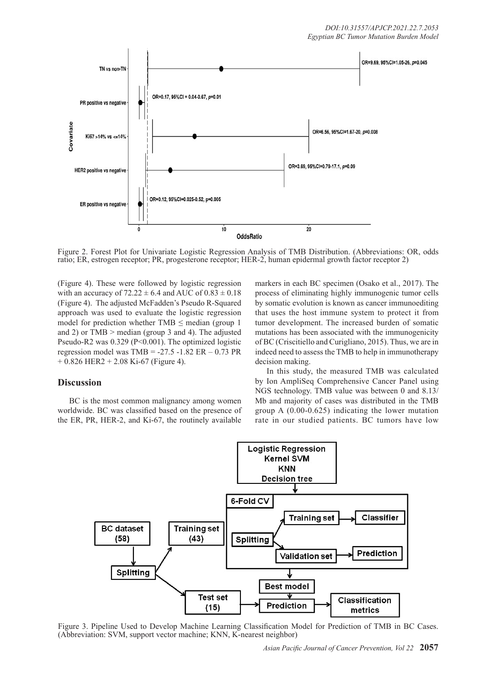

Figure 2. Forest Plot for Univariate Logistic Regression Analysis of TMB Distribution. (Abbreviations: OR, odds ratio; ER, estrogen receptor; PR, progesterone receptor; HER-2, human epidermal growth factor receptor 2)

(Figure 4). These were followed by logistic regression with an accuracy of  $72.22 \pm 6.4$  and AUC of  $0.83 \pm 0.18$ (Figure 4). The adjusted McFadden's Pseudo R-Squared approach was used to evaluate the logistic regression model for prediction whether TMB < median (group 1) and 2) or TMB > median (group 3 and 4). The adjusted Pseudo-R2 was 0.329 (P<0.001). The optimized logistic regression model was  $TMB = -27.5 - 1.82$  ER  $- 0.73$  PR  $+ 0.826$  HER2  $+ 2.08$  Ki-67 (Figure 4).

## **Discussion**

BC is the most common malignancy among women worldwide. BC was classified based on the presence of the ER, PR, HER-2, and Ki-67, the routinely available

markers in each BC specimen (Osako et al., 2017). The process of eliminating highly immunogenic tumor cells by somatic evolution is known as cancer immunoediting that uses the host immune system to protect it from tumor development. The increased burden of somatic mutations has been associated with the immunogenicity of BC (Criscitiello and Curigliano, 2015). Thus, we are in indeed need to assess the TMB to help in immunotherapy decision making.

In this study, the measured TMB was calculated by Ion AmpliSeq Comprehensive Cancer Panel using NGS technology. TMB value was between 0 and 8.13/ Mb and majority of cases was distributed in the TMB group A (0.00-0.625) indicating the lower mutation rate in our studied patients. BC tumors have low



Figure 3. Pipeline Used to Develop Machine Learning Classification Model for Prediction of TMB in BC Cases. (Abbreviation: SVM, support vector machine; KNN, K-nearest neighbor)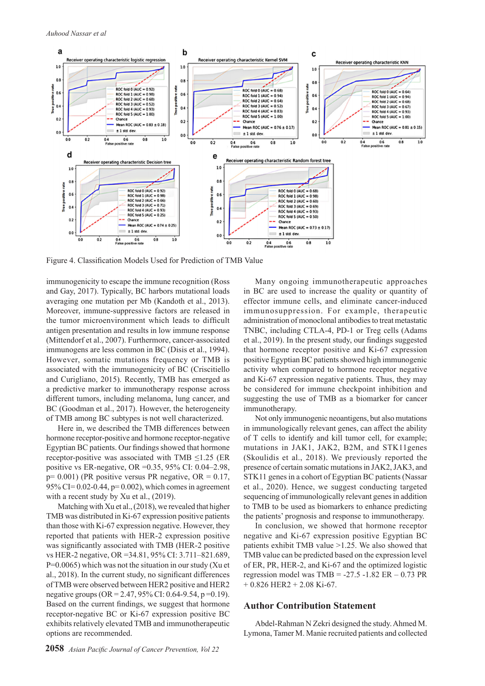

Figure 4. Classification Models Used for Prediction of TMB Value

immunogenicity to escape the immune recognition (Ross and Gay, 2017). Typically, BC harbors mutational loads averaging one mutation per Mb (Kandoth et al., 2013). Moreover, immune-suppressive factors are released in the tumor microenvironment which leads to difficult antigen presentation and results in low immune response (Mittendorf et al., 2007). Furthermore, cancer-associated immunogens are less common in BC (Disis et al., 1994). However, somatic mutations frequency or TMB is associated with the immunogenicity of BC (Criscitiello and Curigliano, 2015). Recently, TMB has emerged as a predictive marker to immunotherapy response across different tumors, including melanoma, lung cancer, and BC (Goodman et al., 2017). However, the heterogeneity of TMB among BC subtypes is not well characterized.

Here in, we described the TMB differences between hormone receptor-positive and hormone receptor-negative Egyptian BC patients. Our findings showed that hormone receptor-positive was associated with TMB  $\leq$ 1.25 (ER positive vs ER-negative, OR =0.35, 95% CI: 0.04–2.98,  $p= 0.001$ ) (PR positive versus PR negative, OR = 0.17, 95% CI=  $0.02 - 0.44$ , p=  $0.002$ ), which comes in agreement with a recent study by Xu et al., (2019).

Matching with Xu et al., (2018), we revealed that higher TMB was distributed in Ki-67 expression positive patients than those with Ki-67 expression negative. However, they reported that patients with HER-2 expression positive was significantly associated with TMB (HER-2 positive vs HER-2 negative, OR =34.81, 95% CI: 3.711–821.689, P=0.0065) which was not the situation in our study (Xu et al., 2018). In the current study, no significant differences of TMB were observed between HER2 positive and HER2 negative groups  $(OR = 2.47, 95\% \text{ CI} : 0.64 - 9.54, p = 0.19)$ . Based on the current findings, we suggest that hormone receptor-negative BC or Ki-67 expression positive BC exhibits relatively elevated TMB and immunotherapeutic options are recommended.

Many ongoing immunotherapeutic approaches in BC are used to increase the quality or quantity of effector immune cells, and eliminate cancer-induced immunosuppression. For example, therapeutic administration of monoclonal antibodies to treat metastatic TNBC, including CTLA-4, PD-1 or Treg cells (Adams et al., 2019). In the present study, our findings suggested that hormone receptor positive and Ki-67 expression positive Egyptian BC patients showed high immunogenic activity when compared to hormone receptor negative and Ki-67 expression negative patients. Thus, they may be considered for immune checkpoint inhibition and suggesting the use of TMB as a biomarker for cancer immunotherapy.

Not only immunogenic neoantigens, but also mutations in immunologically relevant genes, can affect the ability of T cells to identify and kill tumor cell, for example; mutations in JAK1, JAK2, B2M, and STK11genes (Skoulidis et al., 2018). We previously reported the presence of certain somatic mutations in JAK2, JAK3, and STK11 genes in a cohort of Egyptian BC patients (Nassar et al., 2020). Hence, we suggest conducting targeted sequencing of immunologically relevant genes in addition to TMB to be used as biomarkers to enhance predicting the patients' prognosis and response to immunotherapy.

In conclusion, we showed that hormone receptor negative and Ki-67 expression positive Egyptian BC patients exhibit TMB value >1.25. We also showed that TMB value can be predicted based on the expression level of ER, PR, HER-2, and Ki-67 and the optimized logistic regression model was  $TMB = -27.5 -1.82$  ER  $- 0.73$  PR  $+ 0.826$  HER2  $+ 2.08$  Ki-67.

## **Author Contribution Statement**

Abdel-Rahman N Zekri designed the study. Ahmed M. Lymona, Tamer M. Manie recruited patients and collected